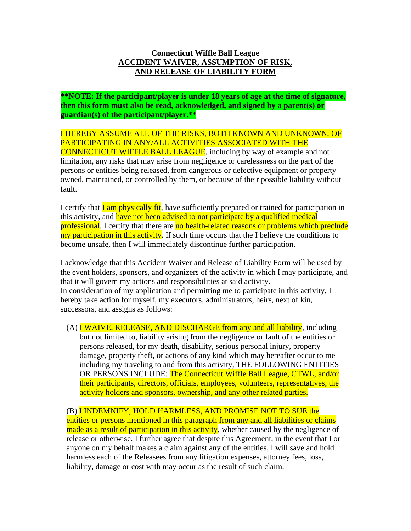## **Connecticut Wiffle Ball League ACCIDENT WAIVER, ASSUMPTION OF RISK, AND RELEASE OF LIABILITY FORM**

**\*\*NOTE: If the participant/player is under 18 years of age at the time of signature, then this form must also be read, acknowledged, and signed by a parent(s) or guardian(s) of the participant/player.\*\***

I HEREBY ASSUME ALL OF THE RISKS, BOTH KNOWN AND UNKNOWN, OF PARTICIPATING IN ANY/ALL ACTIVITIES ASSOCIATED WITH THE CONNECTICUT WIFFLE BALL LEAGUE, including by way of example and not limitation, any risks that may arise from negligence or carelessness on the part of the persons or entities being released, from dangerous or defective equipment or property owned, maintained, or controlled by them, or because of their possible liability without fault.

I certify that **I** am physically fit, have sufficiently prepared or trained for participation in this activity, and have not been advised to not participate by a qualified medical professional. I certify that there are no health-related reasons or problems which preclude my participation in this activity. If such time occurs that the I believe the conditions to become unsafe, then I will immediately discontinue further participation.

I acknowledge that this Accident Waiver and Release of Liability Form will be used by the event holders, sponsors, and organizers of the activity in which I may participate, and that it will govern my actions and responsibilities at said activity. In consideration of my application and permitting me to participate in this activity, I hereby take action for myself, my executors, administrators, heirs, next of kin, successors, and assigns as follows:

(A)  $I$  WAIVE, RELEASE, AND DISCHARGE from any and all liability, including but not limited to, liability arising from the negligence or fault of the entities or persons released, for my death, disability, serious personal injury, property damage, property theft, or actions of any kind which may hereafter occur to me including my traveling to and from this activity, THE FOLLOWING ENTITIES OR PERSONS INCLUDE: The Connecticut Wiffle Ball League, CTWL, and/or their participants, directors, officials, employees, volunteers, representatives, the activity holders and sponsors, ownership, and any other related parties.

(B) I INDEMNIFY, HOLD HARMLESS, AND PROMISE NOT TO SUE the entities or persons mentioned in this paragraph from any and all liabilities or claims made as a result of participation in this activity, whether caused by the negligence of

release or otherwise. I further agree that despite this Agreement, in the event that I or anyone on my behalf makes a claim against any of the entities, I will save and hold harmless each of the Releasees from any litigation expenses, attorney fees, loss, liability, damage or cost with may occur as the result of such claim.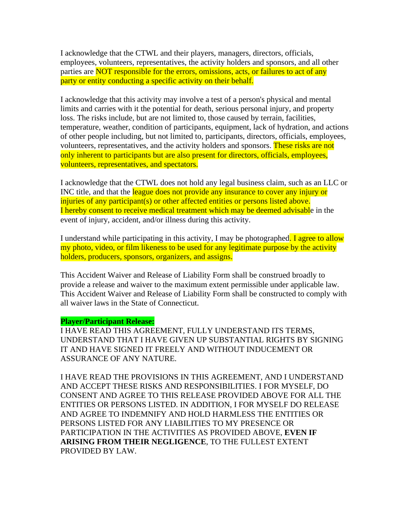I acknowledge that the CTWL and their players, managers, directors, officials, employees, volunteers, representatives, the activity holders and sponsors, and all other parties are **NOT** responsible for the errors, omissions, acts, or failures to act of any party or entity conducting a specific activity on their behalf.

I acknowledge that this activity may involve a test of a person's physical and mental limits and carries with it the potential for death, serious personal injury, and property loss. The risks include, but are not limited to, those caused by terrain, facilities, temperature, weather, condition of participants, equipment, lack of hydration, and actions of other people including, but not limited to, participants, directors, officials, employees, volunteers, representatives, and the activity holders and sponsors. These risks are not only inherent to participants but are also present for directors, officials, employees, volunteers, representatives, and spectators.

I acknowledge that the CTWL does not hold any legal business claim, such as an LLC or INC title, and that the league does not provide any insurance to cover any injury or injuries of any participant(s) or other affected entities or persons listed above. I hereby consent to receive medical treatment which may be deemed advisable in the event of injury, accident, and/or illness during this activity.

I understand while participating in this activity, I may be photographed. I agree to allow my photo, video, or film likeness to be used for any legitimate purpose by the activity holders, producers, sponsors, organizers, and assigns.

This Accident Waiver and Release of Liability Form shall be construed broadly to provide a release and waiver to the maximum extent permissible under applicable law. This Accident Waiver and Release of Liability Form shall be constructed to comply with all waiver laws in the State of Connecticut.

## **Player/Participant Release:**

I HAVE READ THIS AGREEMENT, FULLY UNDERSTAND ITS TERMS, UNDERSTAND THAT I HAVE GIVEN UP SUBSTANTIAL RIGHTS BY SIGNING IT AND HAVE SIGNED IT FREELY AND WITHOUT INDUCEMENT OR ASSURANCE OF ANY NATURE.

I HAVE READ THE PROVISIONS IN THIS AGREEMENT, AND I UNDERSTAND AND ACCEPT THESE RISKS AND RESPONSIBILITIES. I FOR MYSELF, DO CONSENT AND AGREE TO THIS RELEASE PROVIDED ABOVE FOR ALL THE ENTITIES OR PERSONS LISTED. IN ADDITION, I FOR MYSELF DO RELEASE AND AGREE TO INDEMNIFY AND HOLD HARMLESS THE ENTITIES OR PERSONS LISTED FOR ANY LIABILITIES TO MY PRESENCE OR PARTICIPATION IN THE ACTIVITIES AS PROVIDED ABOVE, **EVEN IF ARISING FROM THEIR NEGLIGENCE**, TO THE FULLEST EXTENT PROVIDED BY LAW.